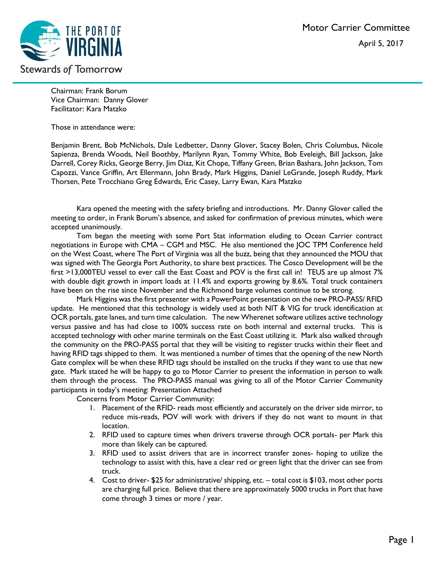

Chairman: Frank Borum Vice Chairman: Danny Glover Facilitator: Kara Matzko

Those in attendance were:

Benjamin Brent, Bob McNichols, Dale Ledbetter, Danny Glover, Stacey Bolen, Chris Columbus, Nicole Sapienza, Brenda Woods, Neil Boothby, Marilynn Ryan, Tommy White, Bob Eveleigh, Bill Jackson, Jake Darrell, Corey Ricks, George Berry, Jim Diaz, Kit Chope, Tiffany Green, Brian Bashara, John Jackson, Tom Capozzi, Vance Griffin, Art Ellermann, John Brady, Mark Higgins, Daniel LeGrande, Joseph Ruddy, Mark Thorsen, Pete Trocchiano Greg Edwards, Eric Casey, Larry Ewan, Kara Matzko

Kara opened the meeting with the safety briefing and introductions. Mr. Danny Glover called the meeting to order, in Frank Borum's absence, and asked for confirmation of previous minutes, which were accepted unanimously.

Tom began the meeting with some Port Stat information eluding to Ocean Carrier contract negotiations in Europe with CMA – CGM and MSC. He also mentioned the JOC TPM Conference held on the West Coast, where The Port of Virginia was all the buzz, being that they announced the MOU that was signed with The Georgia Port Authority, to share best practices. The Cosco Development will be the first >13,000TEU vessel to ever call the East Coast and POV is the first call in! TEUS are up almost 7% with double digit growth in import loads at 11.4% and exports growing by 8.6%. Total truck containers have been on the rise since November and the Richmond barge volumes continue to be strong.

Mark Higgins was the first presenter with a PowerPoint presentation on the new PRO-PASS/ RFID update. He mentioned that this technology is widely used at both NIT & VIG for truck identification at OCR portals, gate lanes, and turn time calculation. The new Wherenet software utilizes active technology versus passive and has had close to 100% success rate on both internal and external trucks. This is accepted technology with other marine terminals on the East Coast utilizing it. Mark also walked through the community on the PRO-PASS portal that they will be visiting to register trucks within their fleet and having RFID tags shipped to them. It was mentioned a number of times that the opening of the new North Gate complex will be when these RFID tags should be installed on the trucks if they want to use that new gate. Mark stated he will be happy to go to Motor Carrier to present the information in person to walk them through the process. The PRO-PASS manual was giving to all of the Motor Carrier Community participants in today's meeting: Presentation Attached

Concerns from Motor Carrier Community:

- 1. Placement of the RFID- reads most efficiently and accurately on the driver side mirror, to reduce mis-reads, POV will work with drivers if they do not want to mount in that location.
- 2. RFID used to capture times when drivers traverse through OCR portals- per Mark this more than likely can be captured.
- 3. RFID used to assist drivers that are in incorrect transfer zones- hoping to utilize the technology to assist with this, have a clear red or green light that the driver can see from truck.
- 4. Cost to driver- \$25 for administrative/ shipping, etc. total cost is \$103, most other ports are charging full price. Believe that there are approximately 5000 trucks in Port that have come through 3 times or more / year.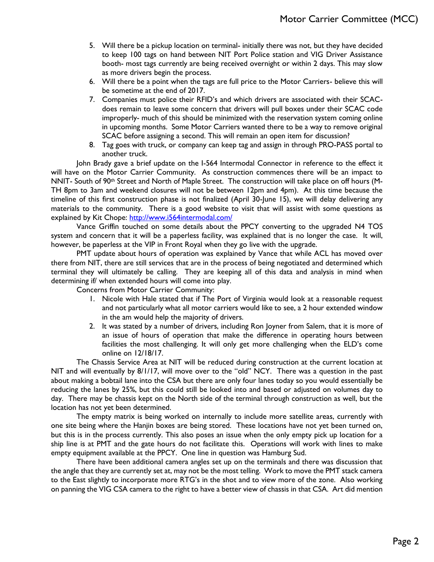- 5. Will there be a pickup location on terminal- initially there was not, but they have decided to keep 100 tags on hand between NIT Port Police station and VIG Driver Assistance booth- most tags currently are being received overnight or within 2 days. This may slow as more drivers begin the process.
- 6. Will there be a point when the tags are full price to the Motor Carriers- believe this will be sometime at the end of 2017.
- 7. Companies must police their RFID's and which drivers are associated with their SCACdoes remain to leave some concern that drivers will pull boxes under their SCAC code improperly- much of this should be minimized with the reservation system coming online in upcoming months. Some Motor Carriers wanted there to be a way to remove original SCAC before assigning a second. This will remain an open item for discussion?
- 8. Tag goes with truck, or company can keep tag and assign in through PRO-PASS portal to another truck.

John Brady gave a brief update on the I-564 Intermodal Connector in reference to the effect it will have on the Motor Carrier Community. As construction commences there will be an impact to NNIT- South of 90<sup>th</sup> Street and North of Maple Street. The construction will take place on off hours (M-TH 8pm to 3am and weekend closures will not be between 12pm and 4pm). At this time because the timeline of this first construction phase is not finalized (April 30-June 15), we will delay delivering any materials to the community. There is a good website to visit that will assist with some questions as explained by Kit Chope:<http://www.i564intermodal.com/>

Vance Griffin touched on some details about the PPCY converting to the upgraded N4 TOS system and concern that it will be a paperless facility, was explained that is no longer the case. It will, however, be paperless at the VIP in Front Royal when they go live with the upgrade.

PMT update about hours of operation was explained by Vance that while ACL has moved over there from NIT, there are still services that are in the process of being negotiated and determined which terminal they will ultimately be calling. They are keeping all of this data and analysis in mind when determining if/ when extended hours will come into play.

Concerns from Motor Carrier Community:

- 1. Nicole with Hale stated that if The Port of Virginia would look at a reasonable request and not particularly what all motor carriers would like to see, a 2 hour extended window in the am would help the majority of drivers.
- 2. It was stated by a number of drivers, including Ron Joyner from Salem, that it is more of an issue of hours of operation that make the difference in operating hours between facilities the most challenging. It will only get more challenging when the ELD's come online on 12/18/17.

The Chassis Service Area at NIT will be reduced during construction at the current location at NIT and will eventually by 8/1/17, will move over to the "old" NCY. There was a question in the past about making a bobtail lane into the CSA but there are only four lanes today so you would essentially be reducing the lanes by 25%, but this could still be looked into and based or adjusted on volumes day to day. There may be chassis kept on the North side of the terminal through construction as well, but the location has not yet been determined.

The empty matrix is being worked on internally to include more satellite areas, currently with one site being where the Hanjin boxes are being stored. These locations have not yet been turned on, but this is in the process currently. This also poses an issue when the only empty pick up location for a ship line is at PMT and the gate hours do not facilitate this. Operations will work with lines to make empty equipment available at the PPCY. One line in question was Hamburg Sud.

There have been additional camera angles set up on the terminals and there was discussion that the angle that they are currently set at, may not be the most telling. Work to move the PMT stack camera to the East slightly to incorporate more RTG's in the shot and to view more of the zone. Also working on panning the VIG CSA camera to the right to have a better view of chassis in that CSA. Art did mention